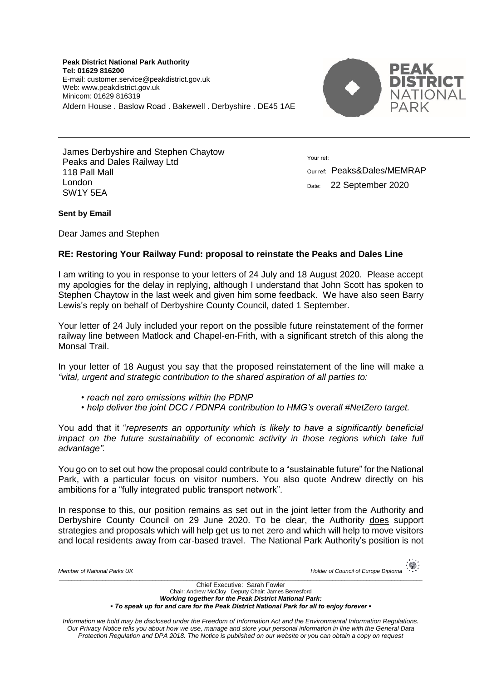**Peak District National Park Authority Tel: 01629 816200** E-mail: customer.service@peakdistrict.gov.uk Web: www.peakdistrict.gov.uk Minicom: 01629 816319 Aldern House . Baslow Road . Bakewell . Derbyshire . DE45 1AE



James Derbyshire and Stephen Chaytow Peaks and Dales Railway Ltd 118 Pall Mall London SW1Y 5EA

Your ref:

Our ref: Peaks&Dales/MEMRAP Date: 22 September 2020

## **Sent by Email**

Dear James and Stephen

## **RE: Restoring Your Railway Fund: proposal to reinstate the Peaks and Dales Line**

I am writing to you in response to your letters of 24 July and 18 August 2020. Please accept my apologies for the delay in replying, although I understand that John Scott has spoken to Stephen Chaytow in the last week and given him some feedback. We have also seen Barry Lewis's reply on behalf of Derbyshire County Council, dated 1 September.

Your letter of 24 July included your report on the possible future reinstatement of the former railway line between Matlock and Chapel-en-Frith, with a significant stretch of this along the Monsal Trail.

In your letter of 18 August you say that the proposed reinstatement of the line will make a *"vital, urgent and strategic contribution to the shared aspiration of all parties to:*

- *reach net zero emissions within the PDNP*
- *help deliver the joint DCC / PDNPA contribution to HMG's overall #NetZero target.*

You add that it "*represents an opportunity which is likely to have a significantly beneficial impact on the future sustainability of economic activity in those regions which take full advantage".*

You go on to set out how the proposal could contribute to a "sustainable future" for the National Park, with a particular focus on visitor numbers. You also quote Andrew directly on his ambitions for a "fully integrated public transport network".

In response to this, our position remains as set out in the joint letter from the Authority and Derbyshire County Council on 29 June 2020. To be clear, the Authority does support strategies and proposals which will help get us to net zero and which will help to move visitors and local residents away from car-based travel. The National Park Authority's position is not

| Member of National Parks UK   | 攥<br>Holder of Council of Europe Diploma $\rightarrow$ |
|-------------------------------|--------------------------------------------------------|
| Chief Executive: Sarah Fowler |                                                        |

Chair: Andrew McCloy Deputy Chair: James Berresford *Working together for the Peak District National Park: ▪ To speak up for and care for the Peak District National Park for all to enjoy forever ▪*

*Information we hold may be disclosed under the Freedom of Information Act and the Environmental Information Regulations. Our Privacy Notice tells you about how we use, manage and store your personal information in line with the General Data Protection Regulation and DPA 2018. The Notice is published on our website or you can obtain a copy on request*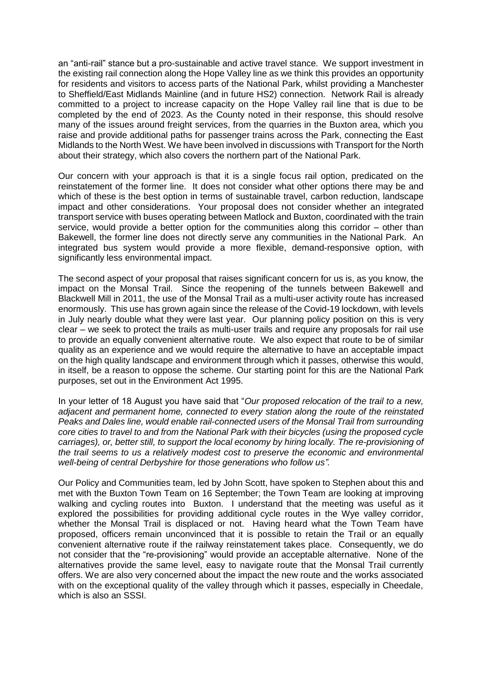an "anti-rail" stance but a pro-sustainable and active travel stance. We support investment in the existing rail connection along the Hope Valley line as we think this provides an opportunity for residents and visitors to access parts of the National Park, whilst providing a Manchester to Sheffield/East Midlands Mainline (and in future HS2) connection. Network Rail is already committed to a project to increase capacity on the Hope Valley rail line that is due to be completed by the end of 2023. As the County noted in their response, this should resolve many of the issues around freight services, from the quarries in the Buxton area, which you raise and provide additional paths for passenger trains across the Park, connecting the East Midlands to the North West. We have been involved in discussions with Transport for the North about their strategy, which also covers the northern part of the National Park.

Our concern with your approach is that it is a single focus rail option, predicated on the reinstatement of the former line. It does not consider what other options there may be and which of these is the best option in terms of sustainable travel, carbon reduction, landscape impact and other considerations. Your proposal does not consider whether an integrated transport service with buses operating between Matlock and Buxton, coordinated with the train service, would provide a better option for the communities along this corridor – other than Bakewell, the former line does not directly serve any communities in the National Park. An integrated bus system would provide a more flexible, demand-responsive option, with significantly less environmental impact.

The second aspect of your proposal that raises significant concern for us is, as you know, the impact on the Monsal Trail. Since the reopening of the tunnels between Bakewell and Blackwell Mill in 2011, the use of the Monsal Trail as a multi-user activity route has increased enormously. This use has grown again since the release of the Covid-19 lockdown, with levels in July nearly double what they were last year. Our planning policy position on this is very clear – we seek to protect the trails as multi-user trails and require any proposals for rail use to provide an equally convenient alternative route. We also expect that route to be of similar quality as an experience and we would require the alternative to have an acceptable impact on the high quality landscape and environment through which it passes, otherwise this would, in itself, be a reason to oppose the scheme. Our starting point for this are the National Park purposes, set out in the Environment Act 1995.

In your letter of 18 August you have said that "*Our proposed relocation of the trail to a new, adjacent and permanent home, connected to every station along the route of the reinstated Peaks and Dales line, would enable rail-connected users of the Monsal Trail from surrounding core cities to travel to and from the National Park with their bicycles (using the proposed cycle carriages), or, better still, to support the local economy by hiring locally. The re-provisioning of the trail seems to us a relatively modest cost to preserve the economic and environmental well-being of central Derbyshire for those generations who follow us".*

Our Policy and Communities team, led by John Scott, have spoken to Stephen about this and met with the Buxton Town Team on 16 September; the Town Team are looking at improving walking and cycling routes into Buxton. I understand that the meeting was useful as it explored the possibilities for providing additional cycle routes in the Wye valley corridor, whether the Monsal Trail is displaced or not. Having heard what the Town Team have proposed, officers remain unconvinced that it is possible to retain the Trail or an equally convenient alternative route if the railway reinstatement takes place. Consequently, we do not consider that the "re-provisioning" would provide an acceptable alternative. None of the alternatives provide the same level, easy to navigate route that the Monsal Trail currently offers. We are also very concerned about the impact the new route and the works associated with on the exceptional quality of the valley through which it passes, especially in Cheedale, which is also an SSSI.